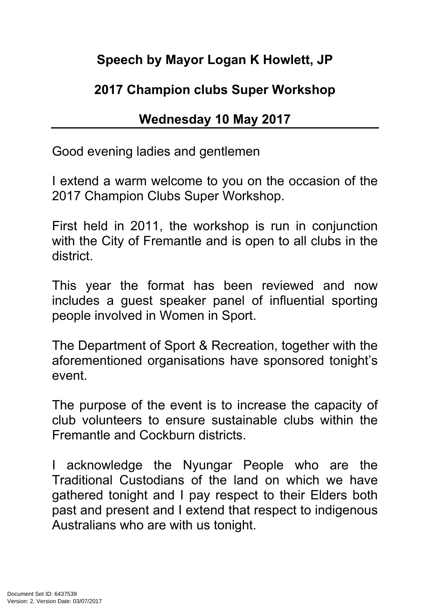## **Speech by Mayor Logan K Howlett, JP**

## **2017 Champion clubs Super Workshop**

## **Wednesday 10 May 2017**

Good evening ladies and gentlemen

I extend a warm welcome to you on the occasion of the 2017 Champion Clubs Super Workshop.

First held in 2011, the workshop is run in conjunction with the City of Fremantle and is open to all clubs in the district.

This year the format has been reviewed and now includes a guest speaker panel of influential sporting people involved in Women in Sport.

The Department of Sport & Recreation, together with the aforementioned organisations have sponsored tonight's event.

The purpose of the event is to increase the capacity of club volunteers to ensure sustainable clubs within the Fremantle and Cockburn districts.

I acknowledge the Nyungar People who are the Traditional Custodians of the land on which we have gathered tonight and I pay respect to their Elders both past and present and I extend that respect to indigenous Australians who are with us tonight.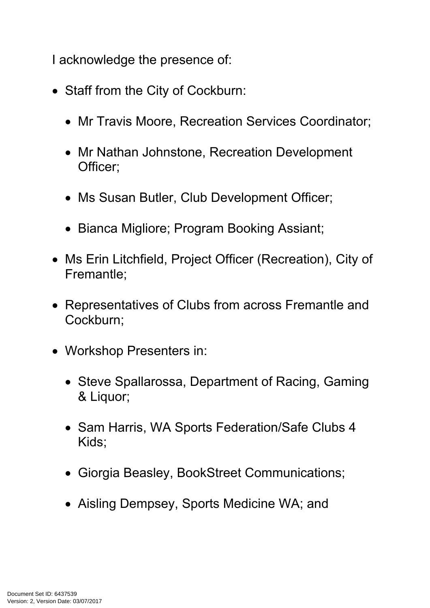I acknowledge the presence of:

- Staff from the City of Cockburn:
	- Mr Travis Moore, Recreation Services Coordinator;
	- Mr Nathan Johnstone, Recreation Development Officer;
	- Ms Susan Butler, Club Development Officer;
	- Bianca Migliore; Program Booking Assiant;
- Ms Erin Litchfield, Project Officer (Recreation), City of Fremantle;
- Representatives of Clubs from across Fremantle and Cockburn;
- Workshop Presenters in:
	- Steve Spallarossa, Department of Racing, Gaming & Liquor;
	- Sam Harris, WA Sports Federation/Safe Clubs 4 Kids;
	- Giorgia Beasley, BookStreet Communications;
	- Aisling Dempsey, Sports Medicine WA; and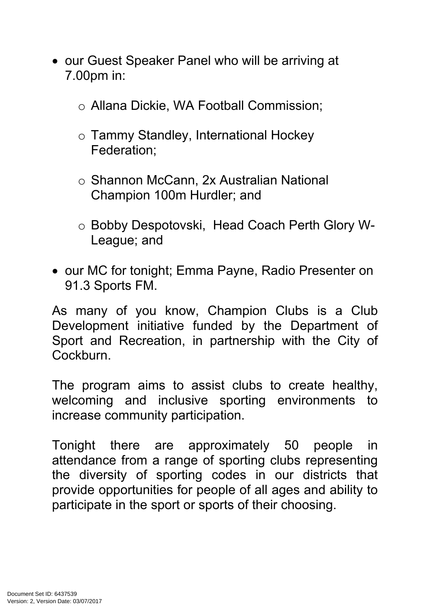- our Guest Speaker Panel who will be arriving at 7.00pm in:
	- o Allana Dickie, WA Football Commission;
	- o Tammy Standley, International Hockey Federation;
	- o Shannon McCann, 2x Australian National Champion 100m Hurdler; and
	- o Bobby Despotovski, Head Coach Perth Glory W-League; and
- our MC for tonight; Emma Payne, Radio Presenter on 91.3 Sports FM.

As many of you know, Champion Clubs is a Club Development initiative funded by the Department of Sport and Recreation, in partnership with the City of **Cockburn** 

The program aims to assist clubs to create healthy, welcoming and inclusive sporting environments to increase community participation.

Tonight there are approximately 50 people in attendance from a range of sporting clubs representing the diversity of sporting codes in our districts that provide opportunities for people of all ages and ability to participate in the sport or sports of their choosing.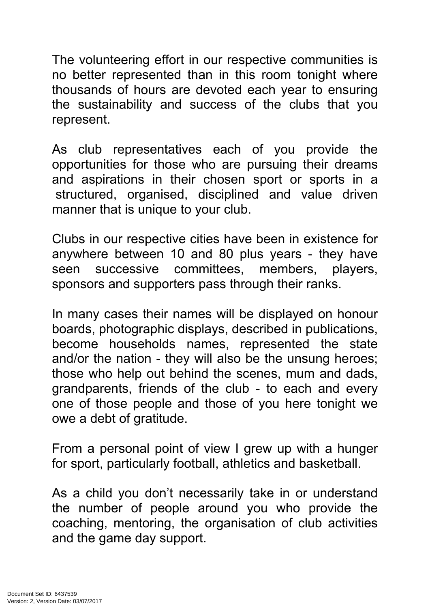The volunteering effort in our respective communities is no better represented than in this room tonight where thousands of hours are devoted each year to ensuring the sustainability and success of the clubs that you represent.

As club representatives each of you provide the opportunities for those who are pursuing their dreams and aspirations in their chosen sport or sports in a structured, organised, disciplined and value driven manner that is unique to your club.

Clubs in our respective cities have been in existence for anywhere between 10 and 80 plus years - they have seen successive committees, members, players, sponsors and supporters pass through their ranks.

In many cases their names will be displayed on honour boards, photographic displays, described in publications, become households names, represented the state and/or the nation - they will also be the unsung heroes; those who help out behind the scenes, mum and dads, grandparents, friends of the club - to each and every one of those people and those of you here tonight we owe a debt of gratitude.

From a personal point of view I grew up with a hunger for sport, particularly football, athletics and basketball.

As a child you don't necessarily take in or understand the number of people around you who provide the coaching, mentoring, the organisation of club activities and the game day support.